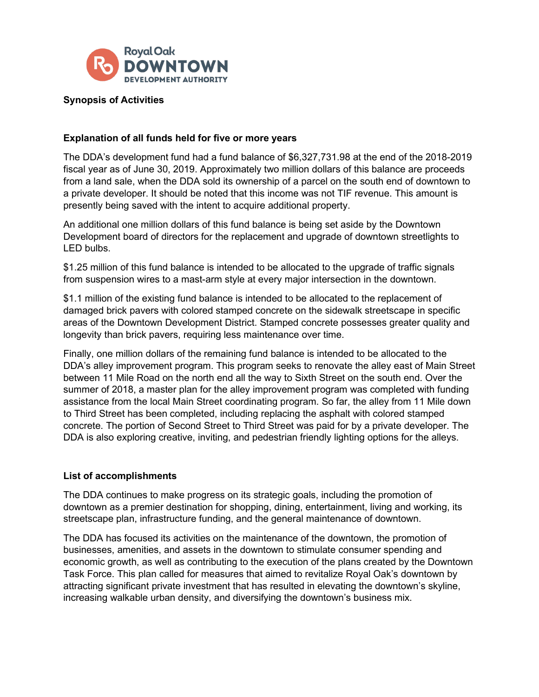

## **Synopsis of Activities**

## **Explanation of all funds held for five or more years**

The DDA's development fund had a fund balance of \$6,327,731.98 at the end of the 2018-2019 fiscal year as of June 30, 2019. Approximately two million dollars of this balance are proceeds from a land sale, when the DDA sold its ownership of a parcel on the south end of downtown to a private developer. It should be noted that this income was not TIF revenue. This amount is presently being saved with the intent to acquire additional property.

An additional one million dollars of this fund balance is being set aside by the Downtown Development board of directors for the replacement and upgrade of downtown streetlights to LED bulbs.

\$1.25 million of this fund balance is intended to be allocated to the upgrade of traffic signals from suspension wires to a mast-arm style at every major intersection in the downtown.

\$1.1 million of the existing fund balance is intended to be allocated to the replacement of damaged brick pavers with colored stamped concrete on the sidewalk streetscape in specific areas of the Downtown Development District. Stamped concrete possesses greater quality and longevity than brick pavers, requiring less maintenance over time.

Finally, one million dollars of the remaining fund balance is intended to be allocated to the DDA's alley improvement program. This program seeks to renovate the alley east of Main Street between 11 Mile Road on the north end all the way to Sixth Street on the south end. Over the summer of 2018, a master plan for the alley improvement program was completed with funding assistance from the local Main Street coordinating program. So far, the alley from 11 Mile down to Third Street has been completed, including replacing the asphalt with colored stamped concrete. The portion of Second Street to Third Street was paid for by a private developer. The DDA is also exploring creative, inviting, and pedestrian friendly lighting options for the alleys.

## **List of accomplishments**

The DDA continues to make progress on its strategic goals, including the promotion of downtown as a premier destination for shopping, dining, entertainment, living and working, its streetscape plan, infrastructure funding, and the general maintenance of downtown.

The DDA has focused its activities on the maintenance of the downtown, the promotion of businesses, amenities, and assets in the downtown to stimulate consumer spending and economic growth, as well as contributing to the execution of the plans created by the Downtown Task Force. This plan called for measures that aimed to revitalize Royal Oak's downtown by attracting significant private investment that has resulted in elevating the downtown's skyline, increasing walkable urban density, and diversifying the downtown's business mix.